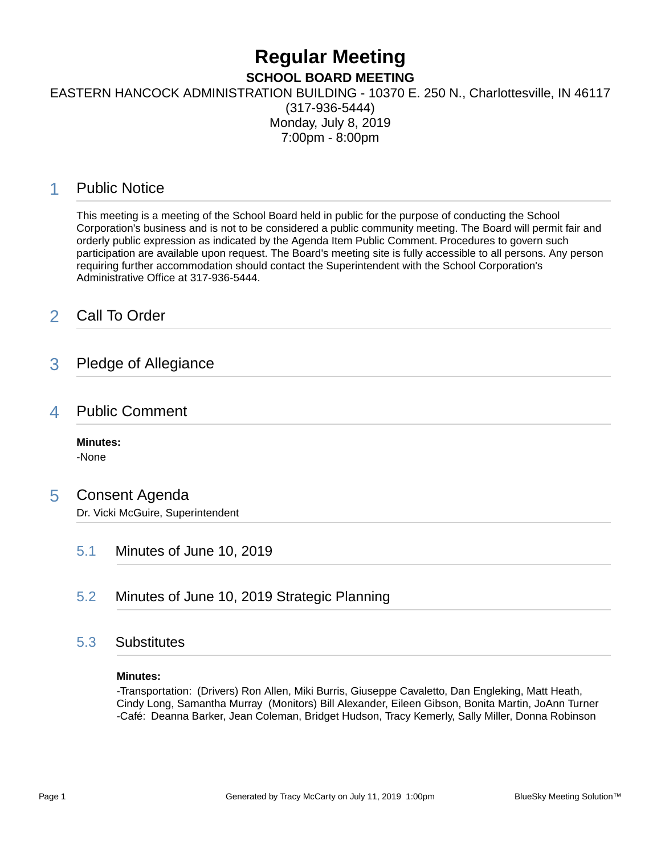# **Regular Meeting**

**SCHOOL BOARD MEETING**

EASTERN HANCOCK ADMINISTRATION BUILDING - 10370 E. 250 N., Charlottesville, IN 46117

(317-936-5444) Monday, July 8, 2019 7:00pm - 8:00pm

# 1 Public Notice

This meeting is a meeting of the School Board held in public for the purpose of conducting the School Corporation's business and is not to be considered a public community meeting. The Board will permit fair and orderly public expression as indicated by the Agenda Item Public Comment. Procedures to govern such participation are available upon request. The Board's meeting site is fully accessible to all persons. Any person requiring further accommodation should contact the Superintendent with the School Corporation's Administrative Office at 317-936-5444.

# 2 Call To Order

### 3 Pledge of Allegiance

### 4 Public Comment

**Minutes:** -None

### 5 Consent Agenda

Dr. Vicki McGuire, Superintendent

- 5.1 Minutes of June 10, 2019
- 5.2 Minutes of June 10, 2019 Strategic Planning

### 5.3 Substitutes

#### **Minutes:**

-Transportation: (Drivers) Ron Allen, Miki Burris, Giuseppe Cavaletto, Dan Engleking, Matt Heath, Cindy Long, Samantha Murray (Monitors) Bill Alexander, Eileen Gibson, Bonita Martin, JoAnn Turner -Café: Deanna Barker, Jean Coleman, Bridget Hudson, Tracy Kemerly, Sally Miller, Donna Robinson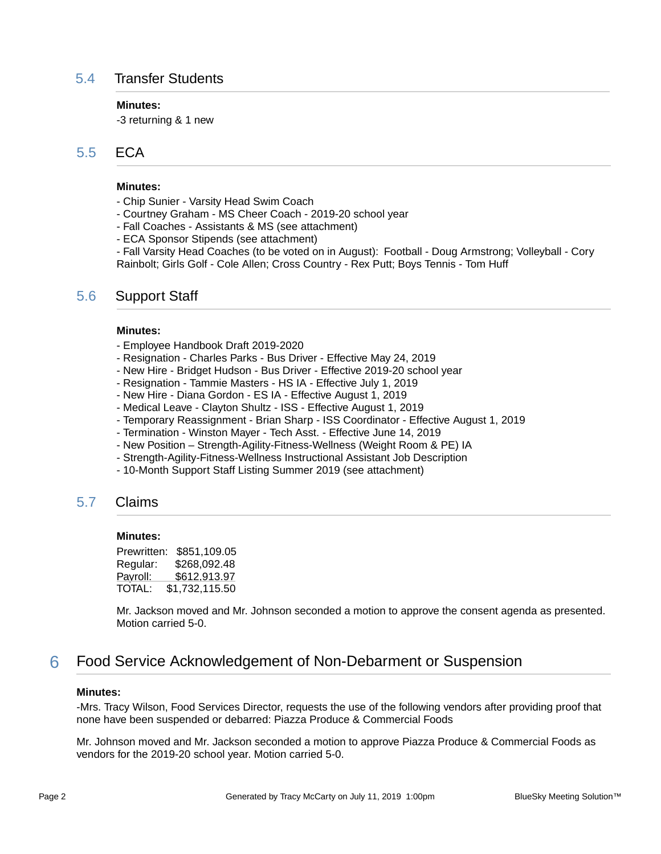### 5.4 Transfer Students

#### **Minutes:**

-3 returning & 1 new

### 5.5 ECA

#### **Minutes:**

- Chip Sunier Varsity Head Swim Coach
- Courtney Graham MS Cheer Coach 2019-20 school year
- Fall Coaches Assistants & MS (see attachment)
- ECA Sponsor Stipends (see attachment)

- Fall Varsity Head Coaches (to be voted on in August): Football - Doug Armstrong; Volleyball - Cory Rainbolt; Girls Golf - Cole Allen; Cross Country - Rex Putt; Boys Tennis - Tom Huff

### 5.6 Support Staff

#### **Minutes:**

- Employee Handbook Draft 2019-2020
- Resignation Charles Parks Bus Driver Effective May 24, 2019
- New Hire Bridget Hudson Bus Driver Effective 2019-20 school year
- Resignation Tammie Masters HS IA Effective July 1, 2019
- New Hire Diana Gordon ES IA Effective August 1, 2019
- Medical Leave Clayton Shultz ISS Effective August 1, 2019
- Temporary Reassignment Brian Sharp ISS Coordinator Effective August 1, 2019
- Termination Winston Mayer Tech Asst. Effective June 14, 2019
- New Position Strength-Agility-Fitness-Wellness (Weight Room & PE) IA
- Strength-Agility-Fitness-Wellness Instructional Assistant Job Description
- 10-Month Support Staff Listing Summer 2019 (see attachment)

### 5.7 Claims

#### **Minutes:**

Prewritten: \$851,109.05 Regular: \$268,092.48 Payroll: \$612,913.97 TOTAL: \$1,732,115.50

Mr. Jackson moved and Mr. Johnson seconded a motion to approve the consent agenda as presented. Motion carried 5-0.

### 6 Food Service Acknowledgement of Non-Debarment or Suspension

#### **Minutes:**

-Mrs. Tracy Wilson, Food Services Director, requests the use of the following vendors after providing proof that none have been suspended or debarred: Piazza Produce & Commercial Foods

Mr. Johnson moved and Mr. Jackson seconded a motion to approve Piazza Produce & Commercial Foods as vendors for the 2019-20 school year. Motion carried 5-0.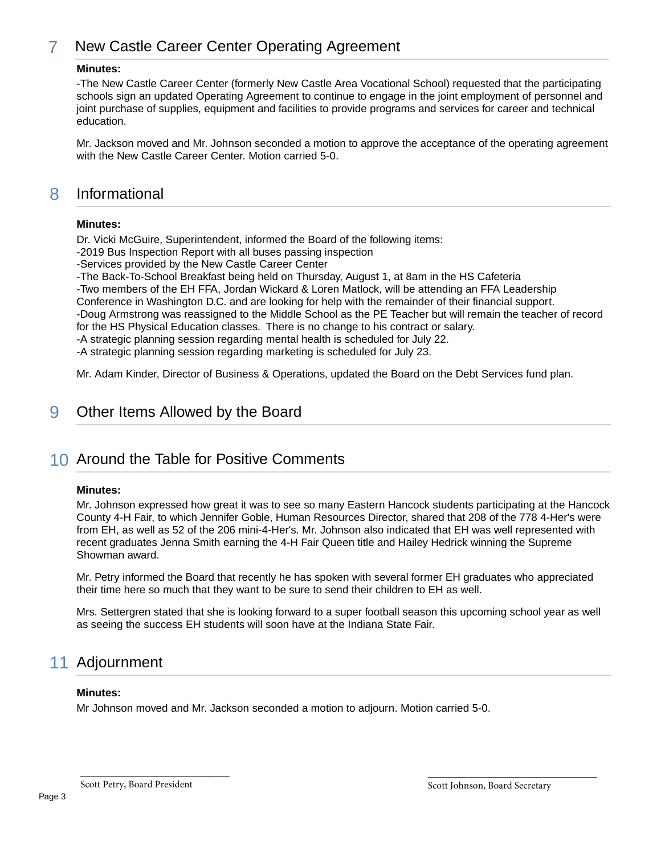# 7 New Castle Career Center Operating Agreement

#### **Minutes:**

-The New Castle Career Center (formerly New Castle Area Vocational School) requested that the participating schools sign an updated Operating Agreement to continue to engage in the joint employment of personnel and joint purchase of supplies, equipment and facilities to provide programs and services for career and technical education.

Mr. Jackson moved and Mr. Johnson seconded a motion to approve the acceptance of the operating agreement with the New Castle Career Center. Motion carried 5-0.

### 8 Informational

#### **Minutes:**

Dr. Vicki McGuire, Superintendent, informed the Board of the following items:

-2019 Bus Inspection Report with all buses passing inspection

-Services provided by the New Castle Career Center

-The Back-To-School Breakfast being held on Thursday, August 1, at 8am in the HS Cafeteria

-Two members of the EH FFA, Jordan Wickard & Loren Matlock, will be attending an FFA Leadership

Conference in Washington D.C. and are looking for help with the remainder of their financial support.

-Doug Armstrong was reassigned to the Middle School as the PE Teacher but will remain the teacher of record for the HS Physical Education classes. There is no change to his contract or salary.

-A strategic planning session regarding mental health is scheduled for July 22.

-A strategic planning session regarding marketing is scheduled for July 23.

Mr. Adam Kinder, Director of Business & Operations, updated the Board on the Debt Services fund plan.

# 9 Other Items Allowed by the Board

# 10 Around the Table for Positive Comments

#### **Minutes:**

Mr. Johnson expressed how great it was to see so many Eastern Hancock students participating at the Hancock County 4-H Fair, to which Jennifer Goble, Human Resources Director, shared that 208 of the 778 4-Her's were from EH, as well as 52 of the 206 mini-4-Her's. Mr. Johnson also indicated that EH was well represented with recent graduates Jenna Smith earning the 4-H Fair Queen title and Hailey Hedrick winning the Supreme Showman award.

Mr. Petry informed the Board that recently he has spoken with several former EH graduates who appreciated their time here so much that they want to be sure to send their children to EH as well.

Mrs. Settergren stated that she is looking forward to a super football season this upcoming school year as well as seeing the success EH students will soon have at the Indiana State Fair.

# 11 Adjournment

#### **Minutes:**

Mr Johnson moved and Mr. Jackson seconded a motion to adjourn. Motion carried 5-0.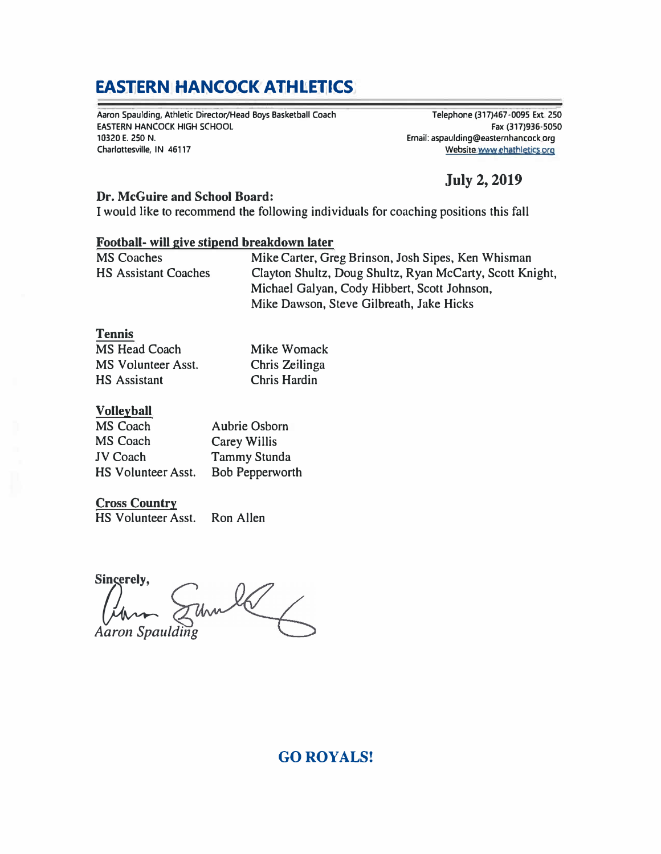# **EASTERN HANCOCK ATHLETICS**

**Aaron Spaulding, Athletic Director/Head Boys Basketball Coach EASTERN HANCOCK HIGH SCHOOL 10320 E. 250 N. Charlottesville, IN 46117** 

- **Telephone (317)467-0095 Ext, 250 Fax (317)936·5050 Email: aspaulding@eastemhancock org Website.www.ehathletics.org** 

# **July 2, 2019**

### **Dr. McGuire and School Board:**

I would like to recommend the following individuals for coaching positions this fall

### **Football- will give stipend breakdown later**

| <b>MS Coaches</b>           | Mike Carter, Greg Brinson, Josh Sipes, Ken Whisman       |
|-----------------------------|----------------------------------------------------------|
| <b>HS Assistant Coaches</b> | Clayton Shultz, Doug Shultz, Ryan McCarty, Scott Knight, |
|                             | Michael Galyan, Cody Hibbert, Scott Johnson,             |
|                             | Mike Dawson, Steve Gilbreath, Jake Hicks                 |

#### **Tennis**

| <b>MS Head Coach</b>      | Mike Womack         |
|---------------------------|---------------------|
| <b>MS Volunteer Asst.</b> | Chris Zeilinga      |
| <b>HS</b> Assistant       | <b>Chris Hardin</b> |

### **Volleyball**

| MS Coach           | Aubrie Osborn       |
|--------------------|---------------------|
| <b>MS Coach</b>    | Carey Willis        |
| <b>JV Coach</b>    | <b>Tammy Stunda</b> |
| HS Volunteer Asst. | Bob Pepperworth     |

### **Cross Country**

HS Volunteer Asst. Ron Allen

Singerely, unle *Aaron Spaulding* 

# **GO ROYALS!**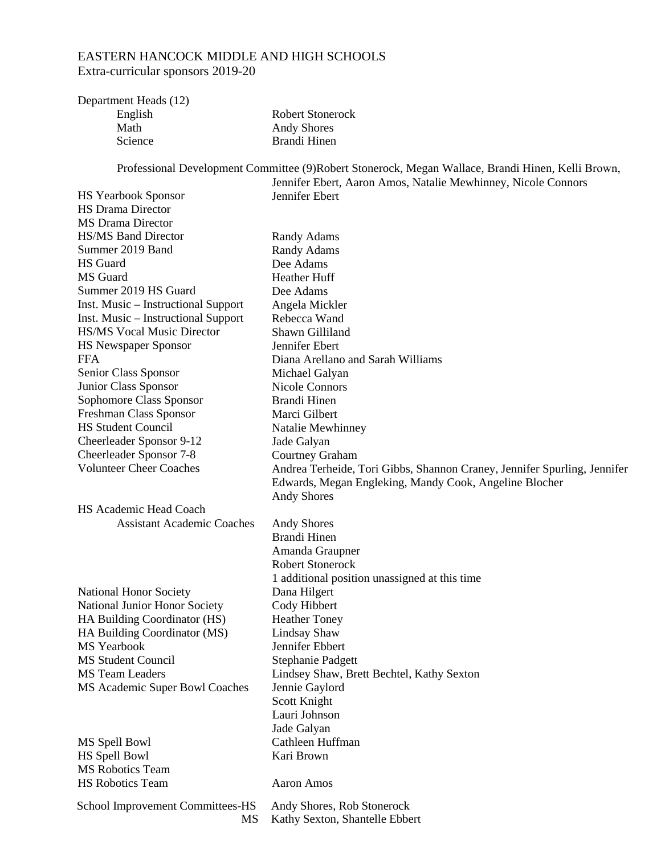### EASTERN HANCOCK MIDDLE AND HIGH SCHOOLS Extra-curricular sponsors 2019-20

| Department Heads (12) |                         |
|-----------------------|-------------------------|
| English               | <b>Robert Stonerock</b> |
| Math                  | <b>Andy Shores</b>      |
| Science               | Brandi Hinen            |
|                       |                         |

Professional Development Committee (9)Robert Stonerock, Megan Wallace, Brandi Hinen, Kelli Brown,

|                                     | Jennifer Ebert, Aaron Amos, Natalie Mewhinney, Nicole Connors            |
|-------------------------------------|--------------------------------------------------------------------------|
| <b>HS Yearbook Sponsor</b>          | Jennifer Ebert                                                           |
| <b>HS Drama Director</b>            |                                                                          |
| <b>MS</b> Drama Director            |                                                                          |
| <b>HS/MS Band Director</b>          | <b>Randy Adams</b>                                                       |
| Summer 2019 Band                    | <b>Randy Adams</b>                                                       |
| <b>HS</b> Guard                     | Dee Adams                                                                |
| MS Guard                            | <b>Heather Huff</b>                                                      |
| Summer 2019 HS Guard                | Dee Adams                                                                |
| Inst. Music – Instructional Support | Angela Mickler                                                           |
| Inst. Music – Instructional Support | Rebecca Wand                                                             |
| <b>HS/MS Vocal Music Director</b>   | Shawn Gilliland                                                          |
| <b>HS Newspaper Sponsor</b>         | Jennifer Ebert                                                           |
| <b>FFA</b>                          | Diana Arellano and Sarah Williams                                        |
| Senior Class Sponsor                | Michael Galyan                                                           |
| Junior Class Sponsor                | Nicole Connors                                                           |
| Sophomore Class Sponsor             | Brandi Hinen                                                             |
| Freshman Class Sponsor              | Marci Gilbert                                                            |
| <b>HS Student Council</b>           | Natalie Mewhinney                                                        |
| Cheerleader Sponsor 9-12            |                                                                          |
| Cheerleader Sponsor 7-8             | Jade Galyan                                                              |
| <b>Volunteer Cheer Coaches</b>      | <b>Courtney Graham</b>                                                   |
|                                     | Andrea Terheide, Tori Gibbs, Shannon Craney, Jennifer Spurling, Jennifer |
|                                     | Edwards, Megan Engleking, Mandy Cook, Angeline Blocher                   |
|                                     | <b>Andy Shores</b>                                                       |
| HS Academic Head Coach              |                                                                          |
| <b>Assistant Academic Coaches</b>   | <b>Andy Shores</b>                                                       |
|                                     | Brandi Hinen                                                             |
|                                     | Amanda Graupner                                                          |
|                                     | <b>Robert Stonerock</b>                                                  |
|                                     | 1 additional position unassigned at this time                            |
| National Honor Society              | Dana Hilgert                                                             |
| National Junior Honor Society       | Cody Hibbert                                                             |
| HA Building Coordinator (HS)        | <b>Heather Toney</b>                                                     |
| HA Building Coordinator (MS)        | Lindsay Shaw                                                             |
| MS Yearbook                         | Jennifer Ebbert                                                          |
| <b>MS Student Council</b>           | Stephanie Padgett                                                        |
| <b>MS Team Leaders</b>              | Lindsey Shaw, Brett Bechtel, Kathy Sexton                                |
| MS Academic Super Bowl Coaches      | Jennie Gaylord                                                           |
|                                     | Scott Knight                                                             |
|                                     | Lauri Johnson                                                            |
|                                     | Jade Galyan                                                              |
| MS Spell Bowl                       | Cathleen Huffman                                                         |
| HS Spell Bowl                       | Kari Brown                                                               |
| <b>MS Robotics Team</b>             |                                                                          |
| <b>HS Robotics Team</b>             | Aaron Amos                                                               |
|                                     |                                                                          |
| School Improvement Committees-HS    | Andy Shores, Rob Stonerock                                               |
| MS                                  | Kathy Sexton, Shantelle Ebbert                                           |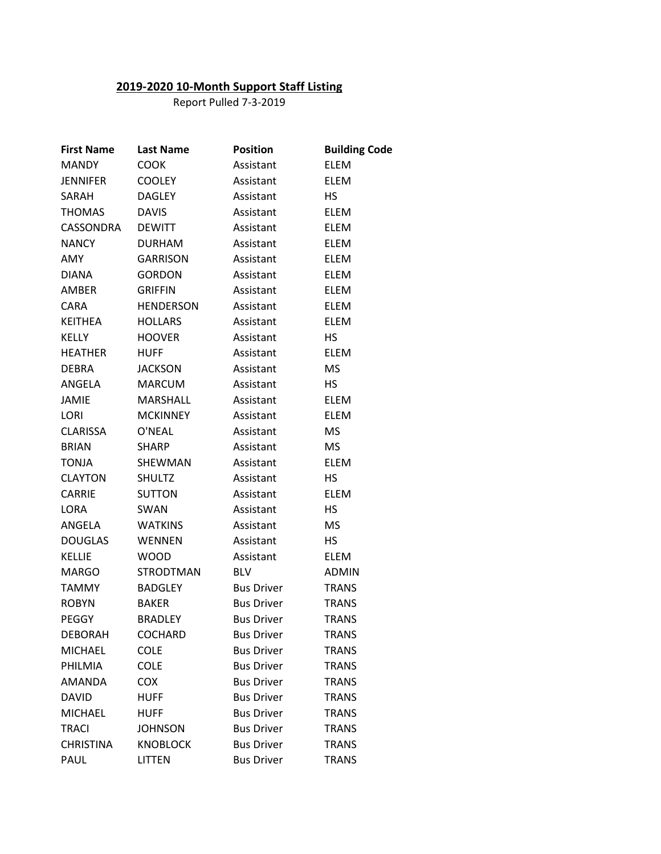### **2019-2020 10-Month Support Staff Listing**

Report Pulled 7-3-2019

| <b>First Name</b> | <b>Last Name</b> | <b>Position</b>   | <b>Building Code</b> |
|-------------------|------------------|-------------------|----------------------|
| <b>MANDY</b>      | <b>COOK</b>      | Assistant         | <b>ELEM</b>          |
| <b>JENNIFER</b>   | <b>COOLEY</b>    | Assistant         | <b>ELEM</b>          |
| SARAH             | <b>DAGLEY</b>    | Assistant         | HS.                  |
| <b>THOMAS</b>     | <b>DAVIS</b>     | Assistant         | ELEM                 |
| CASSONDRA         | <b>DEWITT</b>    | Assistant         | ELEM                 |
| <b>NANCY</b>      | <b>DURHAM</b>    | Assistant         | <b>ELEM</b>          |
| AMY               | <b>GARRISON</b>  | Assistant         | <b>ELEM</b>          |
| <b>DIANA</b>      | <b>GORDON</b>    | Assistant         | <b>ELEM</b>          |
| AMBER             | <b>GRIFFIN</b>   | Assistant         | ELEM                 |
| <b>CARA</b>       | <b>HENDERSON</b> | Assistant         | ELEM                 |
| <b>KEITHEA</b>    | <b>HOLLARS</b>   | Assistant         | <b>ELEM</b>          |
| KELLY             | <b>HOOVER</b>    | Assistant         | НS                   |
| <b>HEATHER</b>    | <b>HUFF</b>      | Assistant         | <b>ELEM</b>          |
| <b>DEBRA</b>      | <b>JACKSON</b>   | Assistant         | <b>MS</b>            |
| ANGELA            | <b>MARCUM</b>    | Assistant         | HS.                  |
| JAMIE             | MARSHALL         | Assistant         | ELEM                 |
| LORI              | <b>MCKINNEY</b>  | Assistant         | <b>ELEM</b>          |
| <b>CLARISSA</b>   | O'NEAL           | Assistant         | <b>MS</b>            |
| <b>BRIAN</b>      | <b>SHARP</b>     | Assistant         | <b>MS</b>            |
| <b>TONJA</b>      | SHEWMAN          | Assistant         | <b>ELEM</b>          |
| <b>CLAYTON</b>    | <b>SHULTZ</b>    | Assistant         | НS                   |
| <b>CARRIE</b>     | <b>SUTTON</b>    | Assistant         | <b>ELEM</b>          |
| LORA              | <b>SWAN</b>      | Assistant         | НS                   |
| ANGELA            | <b>WATKINS</b>   | Assistant         | <b>MS</b>            |
| <b>DOUGLAS</b>    | <b>WENNEN</b>    | Assistant         | <b>HS</b>            |
| <b>KELLIE</b>     | <b>WOOD</b>      | Assistant         | ELEM                 |
| <b>MARGO</b>      | <b>STRODTMAN</b> | <b>BLV</b>        | <b>ADMIN</b>         |
| <b>TAMMY</b>      | <b>BADGLEY</b>   | <b>Bus Driver</b> | TRANS                |
| <b>ROBYN</b>      | <b>BAKER</b>     | <b>Bus Driver</b> | TRANS                |
| <b>PEGGY</b>      | <b>BRADLEY</b>   | <b>Bus Driver</b> | <b>TRANS</b>         |
| <b>DEBORAH</b>    | <b>COCHARD</b>   | <b>Bus Driver</b> | TRANS                |
| <b>MICHAEL</b>    | <b>COLE</b>      | <b>Bus Driver</b> | <b>TRANS</b>         |
| PHILMIA           | <b>COLE</b>      | <b>Bus Driver</b> | <b>TRANS</b>         |
| AMANDA            | <b>COX</b>       | <b>Bus Driver</b> | <b>TRANS</b>         |
| <b>DAVID</b>      | <b>HUFF</b>      | <b>Bus Driver</b> | TRANS                |
| <b>MICHAEL</b>    | <b>HUFF</b>      | <b>Bus Driver</b> | <b>TRANS</b>         |
| <b>TRACI</b>      | <b>JOHNSON</b>   | <b>Bus Driver</b> | <b>TRANS</b>         |
| <b>CHRISTINA</b>  | <b>KNOBLOCK</b>  | <b>Bus Driver</b> | <b>TRANS</b>         |
| PAUL              | <b>LITTEN</b>    | <b>Bus Driver</b> | <b>TRANS</b>         |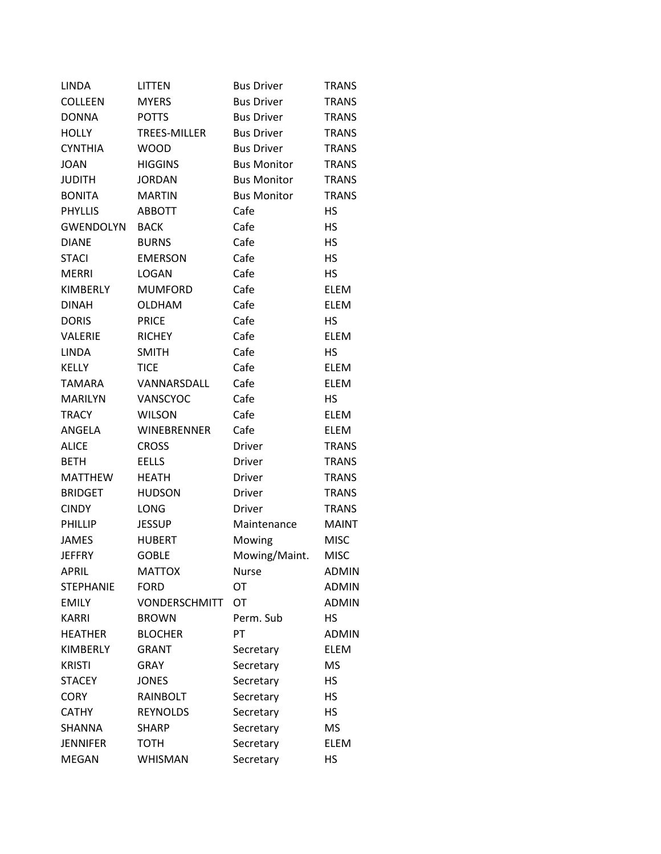| <b>LINDA</b>     | <b>LITTEN</b>        | <b>Bus Driver</b>  | <b>TRANS</b> |
|------------------|----------------------|--------------------|--------------|
| <b>COLLEEN</b>   | <b>MYERS</b>         | <b>Bus Driver</b>  | <b>TRANS</b> |
| <b>DONNA</b>     | <b>POTTS</b>         | <b>Bus Driver</b>  | <b>TRANS</b> |
| <b>HOLLY</b>     | <b>TREES-MILLER</b>  | <b>Bus Driver</b>  | <b>TRANS</b> |
| <b>CYNTHIA</b>   | <b>WOOD</b>          | <b>Bus Driver</b>  | <b>TRANS</b> |
| <b>JOAN</b>      | <b>HIGGINS</b>       | <b>Bus Monitor</b> | <b>TRANS</b> |
| <b>JUDITH</b>    | <b>JORDAN</b>        | <b>Bus Monitor</b> | <b>TRANS</b> |
| <b>BONITA</b>    | <b>MARTIN</b>        | <b>Bus Monitor</b> | <b>TRANS</b> |
| <b>PHYLLIS</b>   | <b>ABBOTT</b>        | Cafe               | HS           |
| <b>GWENDOLYN</b> | <b>BACK</b>          | Cafe               | <b>HS</b>    |
| <b>DIANE</b>     | <b>BURNS</b>         | Cafe               | <b>HS</b>    |
| <b>STACI</b>     | <b>EMERSON</b>       | Cafe               | НS           |
| <b>MERRI</b>     | <b>LOGAN</b>         | Cafe               | HS.          |
| <b>KIMBERLY</b>  | <b>MUMFORD</b>       | Cafe               | <b>ELEM</b>  |
| <b>DINAH</b>     | <b>OLDHAM</b>        | Cafe               | <b>ELEM</b>  |
| <b>DORIS</b>     | <b>PRICE</b>         | Cafe               | HS           |
| <b>VALERIE</b>   | <b>RICHEY</b>        | Cafe               | <b>ELEM</b>  |
| <b>LINDA</b>     | <b>SMITH</b>         | Cafe               | НS           |
| <b>KELLY</b>     | <b>TICE</b>          | Cafe               | ELEM         |
| <b>TAMARA</b>    | VANNARSDALL          | Cafe               | <b>ELEM</b>  |
| <b>MARILYN</b>   | <b>VANSCYOC</b>      | Cafe               | HS           |
| <b>TRACY</b>     | <b>WILSON</b>        | Cafe               | <b>ELEM</b>  |
| ANGELA           | WINEBRENNER          | Cafe               | <b>ELEM</b>  |
| <b>ALICE</b>     | <b>CROSS</b>         | Driver             | <b>TRANS</b> |
| <b>BETH</b>      | EELLS                | Driver             | <b>TRANS</b> |
| <b>MATTHEW</b>   | <b>HEATH</b>         | <b>Driver</b>      | <b>TRANS</b> |
| <b>BRIDGET</b>   | <b>HUDSON</b>        | Driver             | <b>TRANS</b> |
| <b>CINDY</b>     | LONG                 | Driver             | <b>TRANS</b> |
| <b>PHILLIP</b>   | <b>JESSUP</b>        | Maintenance        | <b>MAINT</b> |
| <b>JAMES</b>     | <b>HUBERT</b>        | Mowing             | <b>MISC</b>  |
| <b>JEFFRY</b>    | <b>GOBLE</b>         | Mowing/Maint.      | <b>MISC</b>  |
| APRIL            | <b>MATTOX</b>        | <b>Nurse</b>       | <b>ADMIN</b> |
| <b>STEPHANIE</b> | <b>FORD</b>          | OT                 | <b>ADMIN</b> |
| <b>EMILY</b>     | <b>VONDERSCHMITT</b> | <b>OT</b>          | <b>ADMIN</b> |
| <b>KARRI</b>     | <b>BROWN</b>         | Perm. Sub          | HS           |
| <b>HEATHER</b>   | <b>BLOCHER</b>       | PT                 | <b>ADMIN</b> |
| <b>KIMBERLY</b>  | <b>GRANT</b>         | Secretary          | <b>ELEM</b>  |
| <b>KRISTI</b>    | <b>GRAY</b>          | Secretary          | <b>MS</b>    |
| <b>STACEY</b>    | <b>JONES</b>         | Secretary          | <b>HS</b>    |
| <b>CORY</b>      | RAINBOLT             | Secretary          | <b>HS</b>    |
| <b>CATHY</b>     | <b>REYNOLDS</b>      | Secretary          | <b>HS</b>    |
| <b>SHANNA</b>    | <b>SHARP</b>         | Secretary          | <b>MS</b>    |
| <b>JENNIFER</b>  | <b>TOTH</b>          | Secretary          | <b>ELEM</b>  |
| <b>MEGAN</b>     | <b>WHISMAN</b>       | Secretary          | <b>HS</b>    |